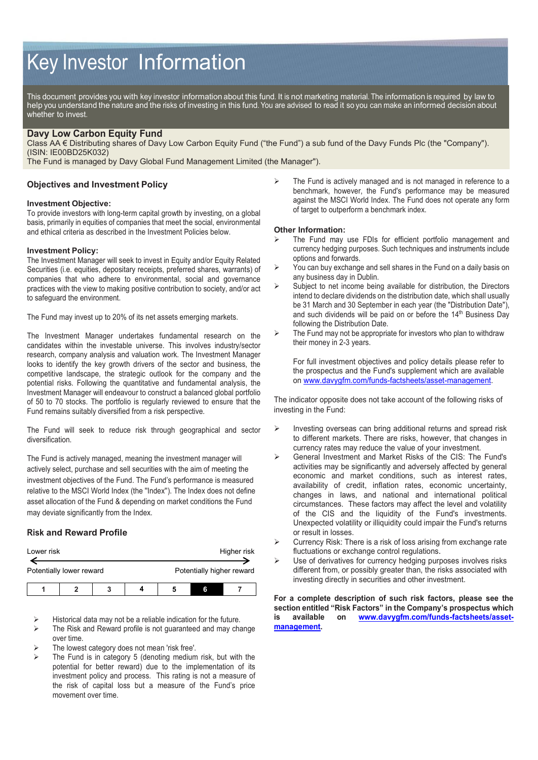# Key Investor Information

This document provides you with key investor information about this fund. It is not marketing material. The information is required by law to help you understand the nature and the risks of investing in this fund. You are advised to read it so you can make an informed decision about whether to invest.

# **Davy Low Carbon Equity Fund**

Class AA € Distributing shares of Davy Low Carbon Equity Fund ("the Fund") a sub fund of the Davy Funds Plc (the "Company"). (ISIN: IE00BD25K032)

The Fund is managed by Davy Global Fund Management Limited (the Manager").

# **Objectives and Investment Policy**

## **Investment Objective:**

To provide investors with long-term capital growth by investing, on a global basis, primarily in equities of companies that meet the social, environmental and ethical criteria as described in the Investment Policies below.

## **Investment Policy:**

The Investment Manager will seek to invest in Equity and/or Equity Related Securities (i.e. equities, depositary receipts, preferred shares, warrants) of companies that who adhere to environmental, social and governance practices with the view to making positive contribution to society, and/or act to safeguard the environment.

The Fund may invest up to 20% of its net assets emerging markets.

The Investment Manager undertakes fundamental research on the candidates within the investable universe. This involves industry/sector research, company analysis and valuation work. The Investment Manager looks to identify the key growth drivers of the sector and business, the competitive landscape, the strategic outlook for the company and the potential risks. Following the quantitative and fundamental analysis, the Investment Manager will endeavour to construct a balanced global portfolio of 50 to 70 stocks. The portfolio is regularly reviewed to ensure that the Fund remains suitably diversified from a risk perspective.

The Fund will seek to reduce risk through geographical and sector diversification.

The Fund is actively managed, meaning the investment manager will actively select, purchase and sell securities with the aim of meeting the investment objectives of the Fund. The Fund's performance is measured relative to the MSCI World Index (the ''Index''). The Index does not define asset allocation of the Fund & depending on market conditions the Fund may deviate significantly from the Index.

# **Risk and Reward Profile**

| Lower risk               |  |  |  |                           | Higher risk |  |
|--------------------------|--|--|--|---------------------------|-------------|--|
| Potentially lower reward |  |  |  | Potentially higher reward |             |  |
|                          |  |  |  |                           | ĥ           |  |

- Historical data may not be a reliable indication for the future.
- The Risk and Reward profile is not guaranteed and may change over time.
- The lowest category does not mean 'risk free'.
- The Fund is in category 5 (denoting medium risk, but with the potential for better reward) due to the implementation of its investment policy and process. This rating is not a measure of the risk of capital loss but a measure of the Fund's price movement over time.

 The Fund is actively managed and is not managed in reference to a benchmark, however, the Fund's performance may be measured against the MSCI World Index. The Fund does not operate any form of target to outperform a benchmark index.

### **Other Information:**

- The Fund may use FDIs for efficient portfolio management and currency hedging purposes. Such techniques and instruments include options and forwards.
- $\triangleright$  You can buy exchange and sell shares in the Fund on a daily basis on any business day in Dublin.
- $\triangleright$  Subject to net income being available for distribution, the Directors intend to declare dividends on the distribution date, which shall usually be 31 March and 30 September in each year (the "Distribution Date"), and such dividends will be paid on or before the 14<sup>th</sup> Business Day following the Distribution Date.
- $\triangleright$  The Fund may not be appropriate for investors who plan to withdraw their money in 2-3 years.

For full investment objectives and policy details please refer to the prospectus and the Fund's supplement which are available on [www.davygfm.com/funds-factsheets/asset-management.](http://www.davygfm.com/funds-factsheets/asset-management) 

The indicator opposite does not take account of the following risks of investing in the Fund:

- $\triangleright$  Investing overseas can bring additional returns and spread risk to different markets. There are risks, however, that changes in currency rates may reduce the value of your investment.
- General Investment and Market Risks of the CIS: The Fund's activities may be significantly and adversely affected by general economic and market conditions, such as interest rates, availability of credit, inflation rates, economic uncertainty, changes in laws, and national and international political circumstances. These factors may affect the level and volatility of the CIS and the liquidity of the Fund's investments. Unexpected volatility or illiquidity could impair the Fund's returns or result in losses.
- Currency Risk: There is a risk of loss arising from exchange rate fluctuations or exchange control regulations.
- Use of derivatives for currency hedging purposes involves risks different from, or possibly greater than, the risks associated with investing directly in securities and other investment.

**For a complete description of such risk factors, please see the section entitled "Risk Factors" in the Company's prospectus which is available on [www.davygfm.com/funds-factsheets/asset](http://www.davygfm.com/funds-factsheets/asset-management)[management.](http://www.davygfm.com/funds-factsheets/asset-management)**